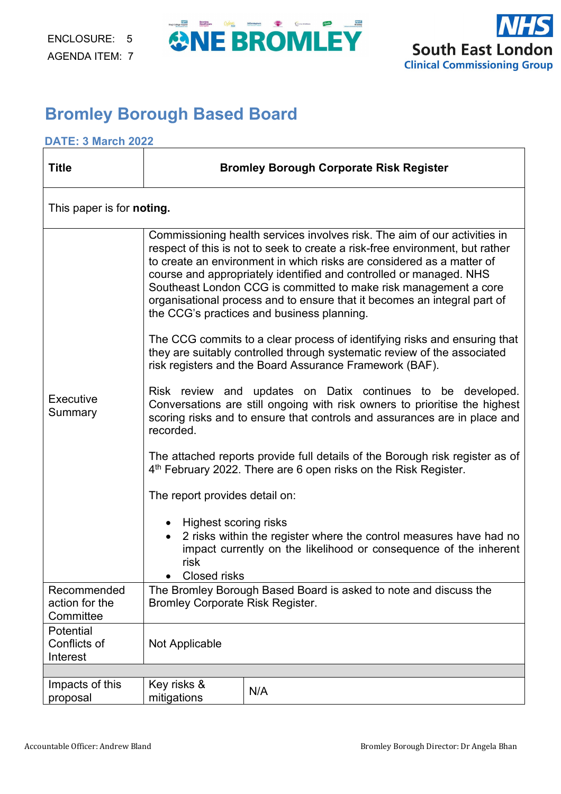



### **Bromley Borough Based Board**

#### **DATE: 3 March 2022**

| <b>Title</b>                          | <b>Bromley Borough Corporate Risk Register</b>                                                                                                                                                                                      |                                                                                                                                                                                                                                                                                                                                                                                                                                                                                                        |  |  |  |  |  |
|---------------------------------------|-------------------------------------------------------------------------------------------------------------------------------------------------------------------------------------------------------------------------------------|--------------------------------------------------------------------------------------------------------------------------------------------------------------------------------------------------------------------------------------------------------------------------------------------------------------------------------------------------------------------------------------------------------------------------------------------------------------------------------------------------------|--|--|--|--|--|
| This paper is for <b>noting.</b>      |                                                                                                                                                                                                                                     |                                                                                                                                                                                                                                                                                                                                                                                                                                                                                                        |  |  |  |  |  |
|                                       |                                                                                                                                                                                                                                     | Commissioning health services involves risk. The aim of our activities in<br>respect of this is not to seek to create a risk-free environment, but rather<br>to create an environment in which risks are considered as a matter of<br>course and appropriately identified and controlled or managed. NHS<br>Southeast London CCG is committed to make risk management a core<br>organisational process and to ensure that it becomes an integral part of<br>the CCG's practices and business planning. |  |  |  |  |  |
|                                       | The CCG commits to a clear process of identifying risks and ensuring that<br>they are suitably controlled through systematic review of the associated<br>risk registers and the Board Assurance Framework (BAF).                    |                                                                                                                                                                                                                                                                                                                                                                                                                                                                                                        |  |  |  |  |  |
| Executive<br>Summary                  | Risk review and updates on Datix continues to be developed.<br>Conversations are still ongoing with risk owners to prioritise the highest<br>scoring risks and to ensure that controls and assurances are in place and<br>recorded. |                                                                                                                                                                                                                                                                                                                                                                                                                                                                                                        |  |  |  |  |  |
|                                       | The attached reports provide full details of the Borough risk register as of<br>4 <sup>th</sup> February 2022. There are 6 open risks on the Risk Register.                                                                         |                                                                                                                                                                                                                                                                                                                                                                                                                                                                                                        |  |  |  |  |  |
|                                       | The report provides detail on:                                                                                                                                                                                                      |                                                                                                                                                                                                                                                                                                                                                                                                                                                                                                        |  |  |  |  |  |
|                                       | Highest scoring risks<br>risk<br><b>Closed risks</b><br>$\bullet$                                                                                                                                                                   | 2 risks within the register where the control measures have had no<br>impact currently on the likelihood or consequence of the inherent                                                                                                                                                                                                                                                                                                                                                                |  |  |  |  |  |
| Recommended<br>action for the         | The Bromley Borough Based Board is asked to note and discuss the<br><b>Bromley Corporate Risk Register.</b>                                                                                                                         |                                                                                                                                                                                                                                                                                                                                                                                                                                                                                                        |  |  |  |  |  |
| Committee                             |                                                                                                                                                                                                                                     |                                                                                                                                                                                                                                                                                                                                                                                                                                                                                                        |  |  |  |  |  |
| Potential<br>Conflicts of<br>Interest | Not Applicable                                                                                                                                                                                                                      |                                                                                                                                                                                                                                                                                                                                                                                                                                                                                                        |  |  |  |  |  |
|                                       |                                                                                                                                                                                                                                     |                                                                                                                                                                                                                                                                                                                                                                                                                                                                                                        |  |  |  |  |  |
| Impacts of this<br>proposal           | Key risks &<br>mitigations                                                                                                                                                                                                          | N/A                                                                                                                                                                                                                                                                                                                                                                                                                                                                                                    |  |  |  |  |  |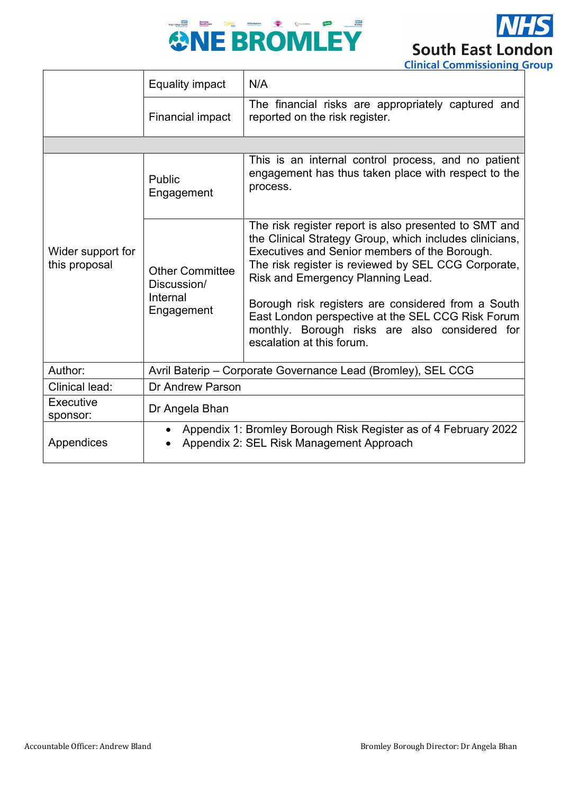



|                                    |                                                                                                             | Cililical Commissioning                                                                                                                                                                                                                                       |  |  |
|------------------------------------|-------------------------------------------------------------------------------------------------------------|---------------------------------------------------------------------------------------------------------------------------------------------------------------------------------------------------------------------------------------------------------------|--|--|
|                                    | <b>Equality impact</b>                                                                                      | N/A                                                                                                                                                                                                                                                           |  |  |
|                                    | Financial impact                                                                                            | The financial risks are appropriately captured and<br>reported on the risk register.                                                                                                                                                                          |  |  |
|                                    |                                                                                                             |                                                                                                                                                                                                                                                               |  |  |
|                                    | Public<br>Engagement                                                                                        | This is an internal control process, and no patient<br>engagement has thus taken place with respect to the<br>process.                                                                                                                                        |  |  |
| Wider support for<br>this proposal | <b>Other Committee</b><br>Discussion/                                                                       | The risk register report is also presented to SMT and<br>the Clinical Strategy Group, which includes clinicians,<br>Executives and Senior members of the Borough.<br>The risk register is reviewed by SEL CCG Corporate,<br>Risk and Emergency Planning Lead. |  |  |
|                                    | Internal<br>Engagement                                                                                      | Borough risk registers are considered from a South<br>East London perspective at the SEL CCG Risk Forum<br>monthly. Borough risks are also considered for<br>escalation at this forum.                                                                        |  |  |
| Author:                            |                                                                                                             | Avril Baterip - Corporate Governance Lead (Bromley), SEL CCG                                                                                                                                                                                                  |  |  |
| Clinical lead:                     | Dr Andrew Parson                                                                                            |                                                                                                                                                                                                                                                               |  |  |
| Executive<br>sponsor:              | Dr Angela Bhan                                                                                              |                                                                                                                                                                                                                                                               |  |  |
| Appendices                         | Appendix 1: Bromley Borough Risk Register as of 4 February 2022<br>Appendix 2: SEL Risk Management Approach |                                                                                                                                                                                                                                                               |  |  |
|                                    |                                                                                                             |                                                                                                                                                                                                                                                               |  |  |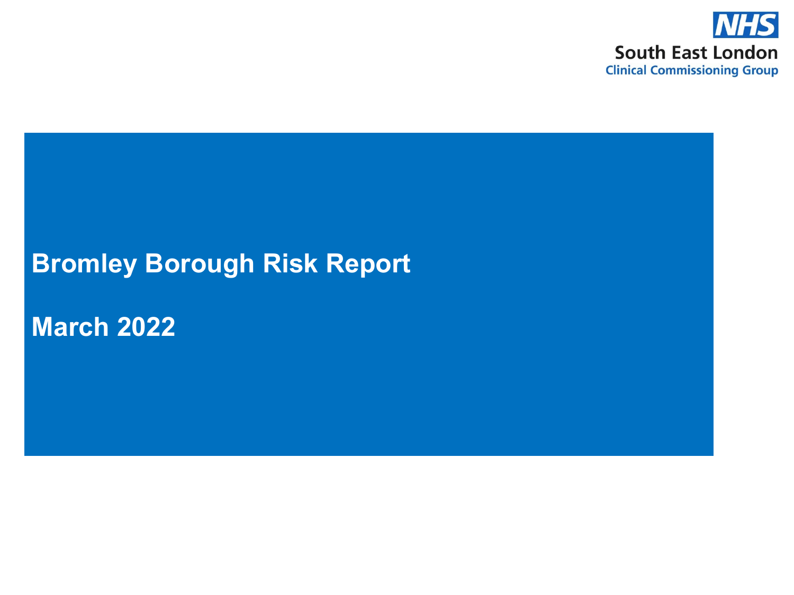

### **Bromley Borough Risk Report**

**March 2022**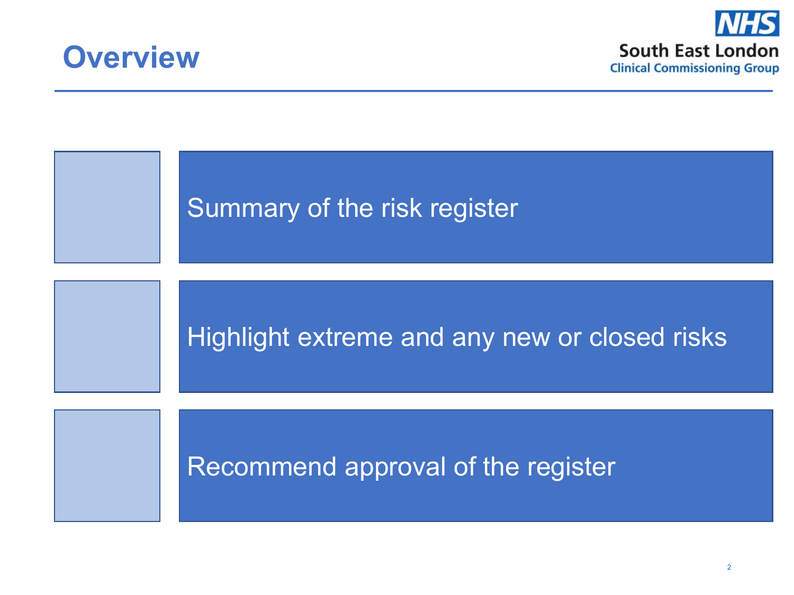



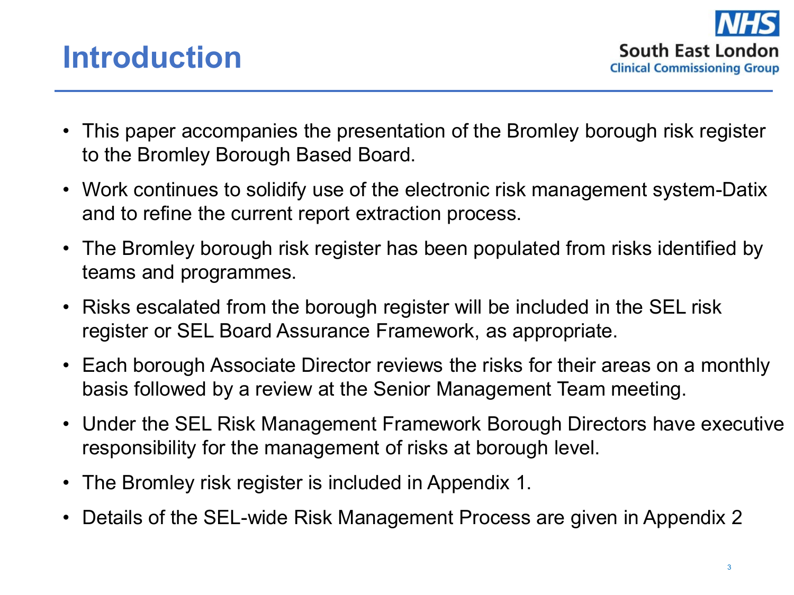

## **Introduction**

- This paper accompanies the presentation of the Bromley borough risk register to the Bromley Borough Based Board.
- Work continues to solidify use of the electronic risk management system-Datix and to refine the current report extraction process.
- The Bromley borough risk register has been populated from risks identified by teams and programmes.
- Risks escalated from the borough register will be included in the SEL risk register or SEL Board Assurance Framework, as appropriate.
- Each borough Associate Director reviews the risks for their areas on a monthly basis followed by a review at the Senior Management Team meeting.
- Under the SEL Risk Management Framework Borough Directors have executive responsibility for the management of risks at borough level.
- The Bromley risk register is included in Appendix 1.
- Details of the SEL-wide Risk Management Process are given in Appendix 2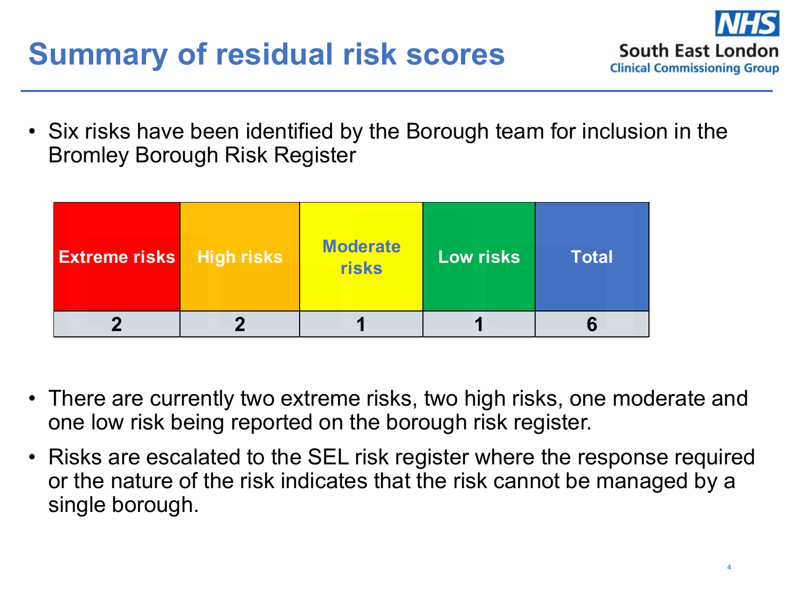## **Summary of residual risk scores**



• Six risks have been identified by the Borough team for inclusion in the Bromley Borough Risk Register

| <b>Extreme risks</b> | <b>High risks</b> | <b>Moderate</b><br>risks | <b>Low risks</b> | Total |
|----------------------|-------------------|--------------------------|------------------|-------|
|                      |                   |                          |                  |       |

- There are currently two extreme risks, two high risks, one moderate and one low risk being reported on the borough risk register.
- Risks are escalated to the SEL risk register where the response required or the nature of the risk indicates that the risk cannot be managed by a single borough.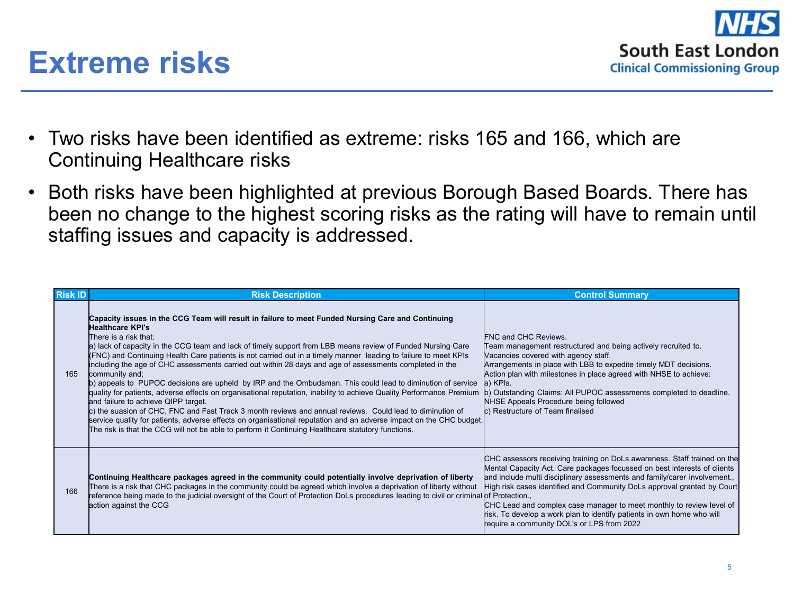

### **Extreme risks**

- Two risks have been identified as extreme: risks 165 and 166, which are Continuing Healthcare risks
- Both risks have been highlighted at previous Borough Based Boards. There has been no change to the highest scoring risks as the rating will have to remain until staffing issues and capacity is addressed.

| <b>Risk ID</b> | <b>Risk Description</b>                                                                                                                                                                                                                                                                                                                                                                                                                                                                                                                                                                                                                                                                                                                                                                                                                                                                                                                                                                                                                                                                                                               | <b>Control Summary</b>                                                                                                                                                                                                                                                                                                                                                                                                                                                                                       |
|----------------|---------------------------------------------------------------------------------------------------------------------------------------------------------------------------------------------------------------------------------------------------------------------------------------------------------------------------------------------------------------------------------------------------------------------------------------------------------------------------------------------------------------------------------------------------------------------------------------------------------------------------------------------------------------------------------------------------------------------------------------------------------------------------------------------------------------------------------------------------------------------------------------------------------------------------------------------------------------------------------------------------------------------------------------------------------------------------------------------------------------------------------------|--------------------------------------------------------------------------------------------------------------------------------------------------------------------------------------------------------------------------------------------------------------------------------------------------------------------------------------------------------------------------------------------------------------------------------------------------------------------------------------------------------------|
| 165            | Capacity issues in the CCG Team will result in failure to meet Funded Nursing Care and Continuing<br>Healthcare KPI's<br>There is a risk that:<br>a) lack of capacity in the CCG team and lack of timely support from LBB means review of Funded Nursing Care<br>(FNC) and Continuing Health Care patients is not carried out in a timely manner leading to failure to meet KPIs<br>including the age of CHC assessments carried out within 28 days and age of assessments completed in the<br>community and;<br>b) appeals to PUPOC decisions are upheld by IRP and the Ombudsman. This could lead to diminution of service<br>quality for patients, adverse effects on organisational reputation, inability to achieve Quality Performance Premium<br>and failure to achieve QIPP target.<br>c) the suasion of CHC, FNC and Fast Track 3 month reviews and annual reviews. Could lead to diminution of<br>service quality for patients, adverse effects on organisational reputation and an adverse impact on the CHC budget.<br>The risk is that the CCG will not be able to perform it Continuing Healthcare statutory functions. | FNC and CHC Reviews.<br>Team management restructured and being actively recruited to.<br>Vacancies covered with agency staff.<br>Arrangements in place with LBB to expedite timely MDT decisions.<br>Action plan with milestones in place agreed with NHSE to achieve:<br>a) KPIs.<br>b) Outstanding Claims: All PUPOC assessments completed to deadline.<br>NHSE Appeals Procedure being followed<br>c) Restructure of Team finalised                                                                       |
| 166            | Continuing Healthcare packages agreed in the community could potentially involve deprivation of liberty<br>There is a risk that CHC packages in the community could be agreed which involve a deprivation of liberty without<br>reference being made to the judicial oversight of the Court of Protection DoLs procedures leading to civil or criminal of Protection.,<br>action against the CCG                                                                                                                                                                                                                                                                                                                                                                                                                                                                                                                                                                                                                                                                                                                                      | CHC assessors receiving training on DoLs awareness. Staff trained on the<br>Mental Capacity Act. Care packages focussed on best interests of clients<br>and include multi disciplinary assessments and family/carer involvement.,<br>High risk cases identified and Community DoLs approval granted by Court<br>CHC Lead and complex case manager to meet monthly to review level of<br>risk. To develop a work plan to identify patients in own home who will<br>require a community DOL's or LPS from 2022 |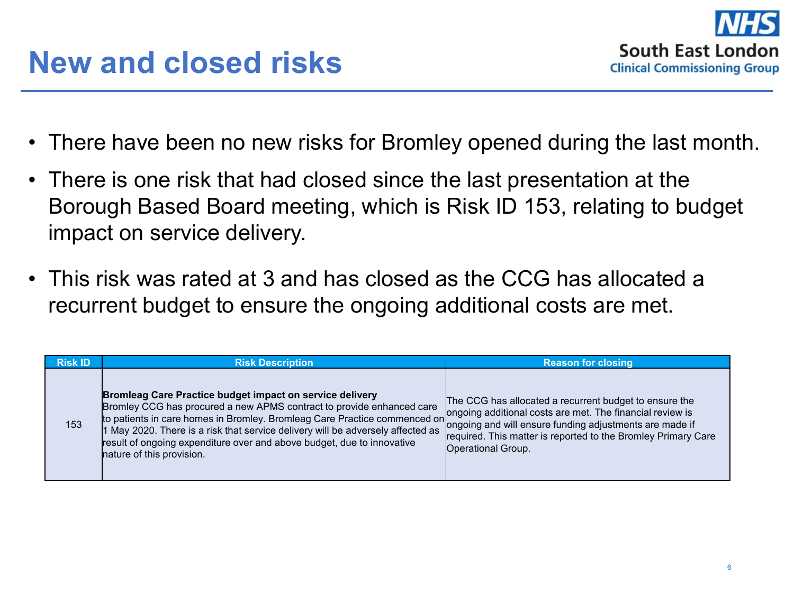- There have been no new risks for Bromley opened during the last month.
- There is one risk that had closed since the last presentation at the Borough Based Board meeting, which is Risk ID 153, relating to budget impact on service delivery.
- This risk was rated at 3 and has closed as the CCG has allocated a recurrent budget to ensure the ongoing additional costs are met.

| <b>Risk ID</b> | <b>Risk Description</b>                                                                                                                                                                                                                                                                                                                                                                                                                                                   | <b>Reason for closing</b>                                                                                                                                                                                 |
|----------------|---------------------------------------------------------------------------------------------------------------------------------------------------------------------------------------------------------------------------------------------------------------------------------------------------------------------------------------------------------------------------------------------------------------------------------------------------------------------------|-----------------------------------------------------------------------------------------------------------------------------------------------------------------------------------------------------------|
| 153            | <b>Bromleag Care Practice budget impact on service delivery</b><br>Bromley CCG has procured a new APMS contract to provide enhanced care<br>to patients in care homes in Bromley. Bromleag Care Practice commenced on ongoing additional costs are met. The financial review is<br>1 May 2020. There is a risk that service delivery will be adversely affected as<br>result of ongoing expenditure over and above budget, due to innovative<br>nature of this provision. | The CCG has allocated a recurrent budget to ensure the<br>'ongoing and will ensure funding adjustments are made if<br>required. This matter is reported to the Bromley Primary Care<br>Operational Group. |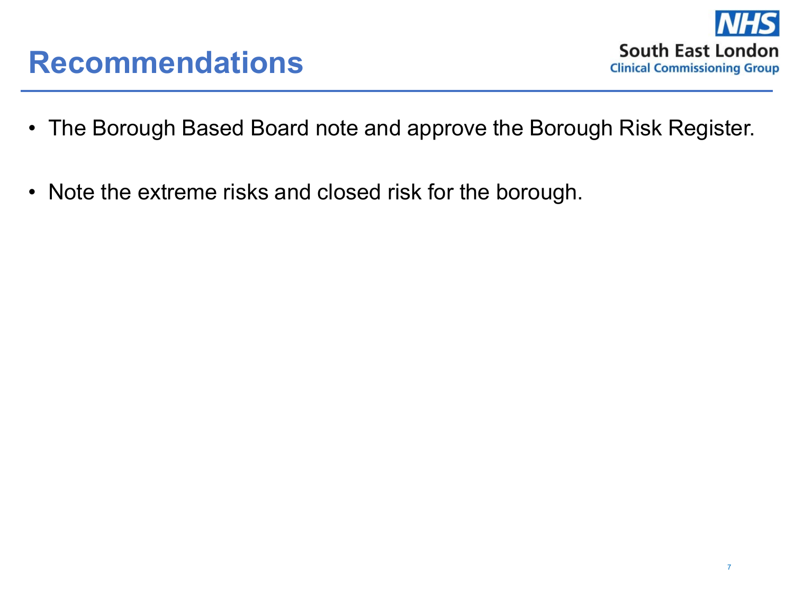

- The Borough Based Board note and approve the Borough Risk Register.
- Note the extreme risks and closed risk for the borough.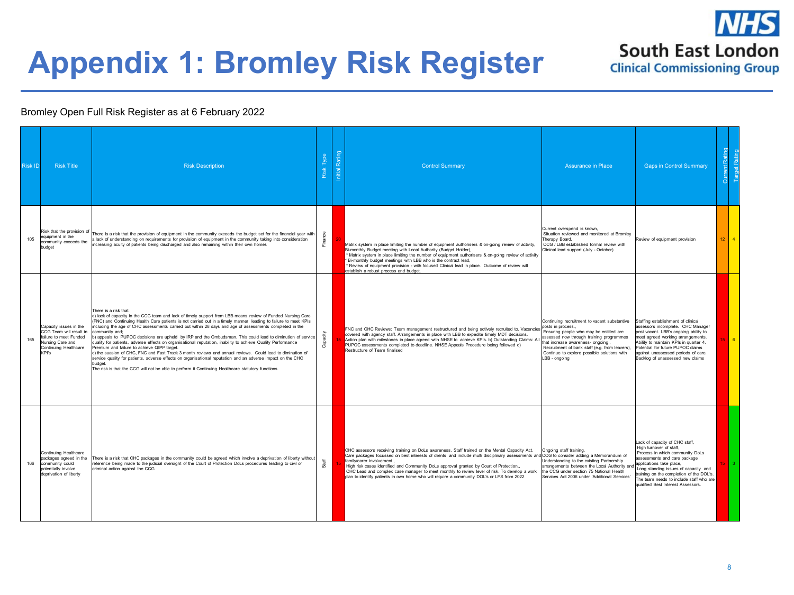

# **Appendix 1: Bromley Risk Register**

#### Bromley Open Full Risk Register as at 6 February 2022

| <b>Risk ID</b> | <b>Risk Title</b>                                                                                                                 | <b>Risk Description</b>                                                                                                                                                                                                                                                                                                                                                                                                                                                                                                                                                                                                                                                                                                                                                                                                                                                                                                                                                                                         | Risk Type | Initial Rating | <b>Control Summary</b>                                                                                                                                                                                                                                                                                                                                                                                                                                                                                                                                           | <b>Assurance in Place</b>                                                                                                                                                                                                                                                                                         | <b>Gaps in Control Summary</b>                                                                                                                                                                                                                                                                                                |        | ρq             |
|----------------|-----------------------------------------------------------------------------------------------------------------------------------|-----------------------------------------------------------------------------------------------------------------------------------------------------------------------------------------------------------------------------------------------------------------------------------------------------------------------------------------------------------------------------------------------------------------------------------------------------------------------------------------------------------------------------------------------------------------------------------------------------------------------------------------------------------------------------------------------------------------------------------------------------------------------------------------------------------------------------------------------------------------------------------------------------------------------------------------------------------------------------------------------------------------|-----------|----------------|------------------------------------------------------------------------------------------------------------------------------------------------------------------------------------------------------------------------------------------------------------------------------------------------------------------------------------------------------------------------------------------------------------------------------------------------------------------------------------------------------------------------------------------------------------------|-------------------------------------------------------------------------------------------------------------------------------------------------------------------------------------------------------------------------------------------------------------------------------------------------------------------|-------------------------------------------------------------------------------------------------------------------------------------------------------------------------------------------------------------------------------------------------------------------------------------------------------------------------------|--------|----------------|
| 105            | Risk that the provision of<br>equipment in the<br>community exceeds the<br>budget                                                 | here is a risk that the provision of equipment in the community exceeds the budget set for the financial year with<br>lack of understanding on requirements for provision of equipment in the community taking into consideration<br>increasing acuity of patients being discharged and also remaining within their own homes                                                                                                                                                                                                                                                                                                                                                                                                                                                                                                                                                                                                                                                                                   | Finance   |                | Matrix system in place limiting the number of equipment authorisers & on-going review of activity,<br>Bi-monthly Budget meeting with Local Authority (Budget Holder),<br>Matrix system in place limiting the number of equipment authorisers & on-going review of activity<br>Bi-monthly budget meetings with LBB who is the contract lead.<br>* Review of equipment provision - with focused Clinical lead in place. Outcome of review will<br>establish a robust process and budget.                                                                           | Current overspend is known.<br>Situation reviewed and monitored at Bromley<br>Therapy Board.<br>CCG / LBB established formal review with<br>Clinical lead support (July - October)                                                                                                                                | Review of equipment provision                                                                                                                                                                                                                                                                                                 | $12-1$ | $\overline{4}$ |
| 165            | Capacity issues in the<br>CCG Team will result in<br>failure to meet Funded<br>Nursing Care and<br>Continuing Healthcare<br>KPI's | There is a risk that:<br>a) lack of capacity in the CCG team and lack of timely support from LBB means review of Funded Nursing Care<br>(FNC) and Continuing Health Care patients is not carried out in a timely manner leading to failure to meet KPIs<br>including the age of CHC assessments carried out within 28 days and age of assessments completed in the<br>community and:<br>b) appeals to PUPOC decisions are upheld by IRP and the Ombudsman. This could lead to diminution of service<br>quality for patients, adverse effects on organisational reputation, inability to achieve Quality Performance<br>Premium and failure to achieve QIPP target.<br>c) the suasion of CHC, FNC and Fast Track 3 month reviews and annual reviews. Could lead to diminution of<br>service quality for patients, adverse effects on organisational reputation and an adverse impact on the CHC<br>budget.<br>The risk is that the CCG will not be able to perform it Continuing Healthcare statutory functions. | Capacity  |                | FNC and CHC Reviews: Team management restructured and being actively recruited to. Vacancies<br>covered with agency staff. Arrangements in place with LBB to expedite timely MDT decisions.<br>Action plan with milestones in place agreed with NHSE to achieve KPIs. b) Outstanding Claims: All<br>PUPOC assessments completed to deadline. NHSE Appeals Procedure being followed c)<br>Restructure of Team finalised                                                                                                                                           | Continuing recruitment to vacant substantive<br>posts in process.,<br>Ensuring people who may be entitled are<br>assessed now through training programmes<br>that increase awareness- ongoing.,<br>Recruitment of bank staff (e.g. from leavers),<br>Continue to explore possible solutions with<br>LBB - ongoing | Staffing establishment of clinical<br>assessors incomplete. CHC Manager<br>post vacant. LBB's ongoing ability to<br>meet agreed working arrangements.<br>Ability to maintain KPIs in quarter 4.<br>Potential for future PUPOC claims<br>against unassessed periods of care.<br>Backlog of unassessed new claims               |        | <b>6</b>       |
| 166            | Continuing Healthcare<br>packages agreed in the<br>community could<br>potentially involve<br>deprivation of liberty               | There is a risk that CHC packages in the community could be agreed which involve a deprivation of liberty without<br>reference being made to the judicial oversight of the Court of Protection DoLs procedures leading to civil or<br>criminal action against the CCG                                                                                                                                                                                                                                                                                                                                                                                                                                                                                                                                                                                                                                                                                                                                           | Staff     |                | CHC assessors receiving training on DoLs awareness. Staff trained on the Mental Capacity Act.<br>Care packages focussed on best interests of clients and include multi disciplinary assessments and CCG to consider adding a Memorandum of<br>family/carer involvement.,<br>High risk cases identified and Community DoLs approval granted by Court of Protection.,<br>CHC Lead and complex case manager to meet monthly to review level of risk. To develop a work<br>plan to identify patients in own home who will require a community DOL's or LPS from 2022 | Ongoing staff training,<br>Understanding to the existing Partnership<br>arrangements between the Local Authority and<br>the CCG under section 75 National Health<br>Services Act 2006 under 'Additional Services'                                                                                                 | Lack of capacity of CHC staff,<br>High turnover of staff.<br>Process in which community DoLs<br>assessments and care package<br>applications take place,<br>Long standing issues of capacity and<br>training on the completion of the DOL's.<br>The team needs to include staff who are<br>qualified Best Interest Assessors. |        |                |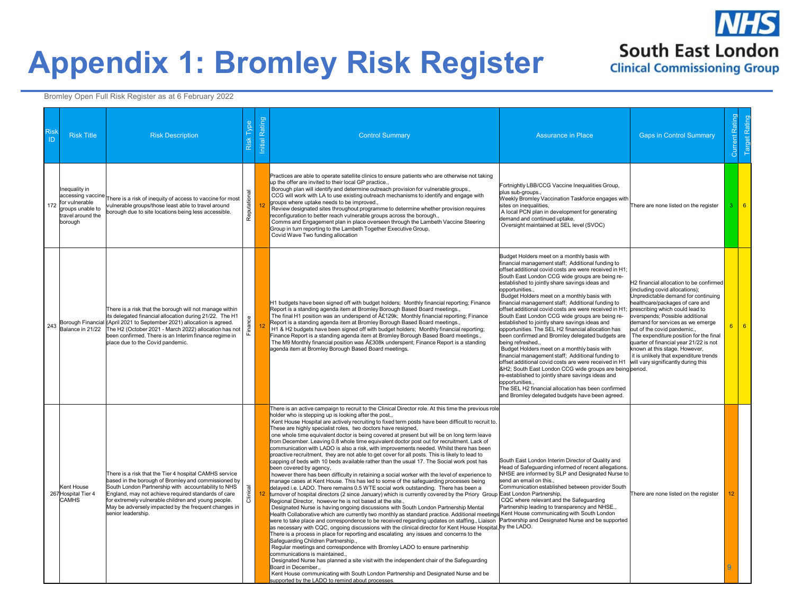## **Appendix 1: Bromley Risk Register**

Bromley Open Full Risk Register as at 6 February 2022

| ID  | <b>Risk Title</b>                                                                                        | <b>Risk Description</b>                                                                                                                                                                                                                                                                                                                                          | Type<br>Risk | Initial Rating | <b>Control Summary</b>                                                                                                                                                                                                                                                                                                                                                                                                                                                                                                                                                                                                                                                                                                                                                                                                                                                                                                                                                                                                                                                                                                                                                                                                                                                                                                                                                                                                                                                                                                                                                                                                                                                                                                                                                                                                                                                                                                                                                                                                                                                                                                                                                                                                                                                                                                    | <b>Assurance in Place</b>                                                                                                                                                                                                                                                                                                                                                                                                                                                                                                                                                                                                                                                                                                                                                                                                                                                                                                                                                                                                                                                                                                     | <b>Gaps in Control Summary</b>                                                                                                                                                                                                                                                                                                                                                                                                                           |                | <b>Current Rating</b><br><b>Target Rating</b> |
|-----|----------------------------------------------------------------------------------------------------------|------------------------------------------------------------------------------------------------------------------------------------------------------------------------------------------------------------------------------------------------------------------------------------------------------------------------------------------------------------------|--------------|----------------|---------------------------------------------------------------------------------------------------------------------------------------------------------------------------------------------------------------------------------------------------------------------------------------------------------------------------------------------------------------------------------------------------------------------------------------------------------------------------------------------------------------------------------------------------------------------------------------------------------------------------------------------------------------------------------------------------------------------------------------------------------------------------------------------------------------------------------------------------------------------------------------------------------------------------------------------------------------------------------------------------------------------------------------------------------------------------------------------------------------------------------------------------------------------------------------------------------------------------------------------------------------------------------------------------------------------------------------------------------------------------------------------------------------------------------------------------------------------------------------------------------------------------------------------------------------------------------------------------------------------------------------------------------------------------------------------------------------------------------------------------------------------------------------------------------------------------------------------------------------------------------------------------------------------------------------------------------------------------------------------------------------------------------------------------------------------------------------------------------------------------------------------------------------------------------------------------------------------------------------------------------------------------------------------------------------------------|-------------------------------------------------------------------------------------------------------------------------------------------------------------------------------------------------------------------------------------------------------------------------------------------------------------------------------------------------------------------------------------------------------------------------------------------------------------------------------------------------------------------------------------------------------------------------------------------------------------------------------------------------------------------------------------------------------------------------------------------------------------------------------------------------------------------------------------------------------------------------------------------------------------------------------------------------------------------------------------------------------------------------------------------------------------------------------------------------------------------------------|----------------------------------------------------------------------------------------------------------------------------------------------------------------------------------------------------------------------------------------------------------------------------------------------------------------------------------------------------------------------------------------------------------------------------------------------------------|----------------|-----------------------------------------------|
| 172 | Inequality in<br>accessing vaccine<br>for vulnerable<br>groups unable to<br>travel around the<br>borough | There is a risk of inequity of access to vaccine for most<br>ulnerable groups/those least able to travel around<br>borough due to site locations being less accessible.                                                                                                                                                                                          | Reputational |                | Practices are able to operate satellite clinics to ensure patients who are otherwise not taking<br>up the offer are invited to their local GP practice.,<br>Borough plan will identify and determine outreach provision for vulnerable groups.,<br>CCG will work with LA to use existing outreach mechanisms to identify and engage with<br>groups where uptake needs to be improved.,<br>Review designated sites throughout programme to determine whether provision requires<br>reconfiguration to better reach vulnerable groups across the borough.,<br>Comms and Engagement plan in place overseen through the Lambeth Vaccine Steering<br>Group in turn reporting to the Lambeth Together Executive Group,<br>Covid Wave Two funding allocation                                                                                                                                                                                                                                                                                                                                                                                                                                                                                                                                                                                                                                                                                                                                                                                                                                                                                                                                                                                                                                                                                                                                                                                                                                                                                                                                                                                                                                                                                                                                                                     | Fortnightly LBB/CCG Vaccine Inequalities Group,<br>plus sub-groups.,<br>Weekly Bromley Vaccination Taskforce engages with<br>sites on inequalities,<br>A local PCN plan in development for generating<br>demand and continued uptake,<br>Oversight maintained at SEL level (SVOC)                                                                                                                                                                                                                                                                                                                                                                                                                                                                                                                                                                                                                                                                                                                                                                                                                                             | There are none listed on the register                                                                                                                                                                                                                                                                                                                                                                                                                    |                | 6                                             |
| 243 | Balance in 21/22                                                                                         | There is a risk that the borough will not manage within<br>its delegated financial allocation during 21/22. The H1<br>Borough Financial (April 2021 to September 2021) allocation is agreed.<br>The H2 (October 2021 - March 2022) allocation has not<br>been confirmed. There is an Interim finance regime in<br>place due to the Covid pandemic.               | Finance      |                | H1 budgets have been signed off with budget holders; Monthly financial reporting; Finance<br>Report is a standing agenda item at Bromley Borough Based Board meetings.,<br>The final H1 position was an underspend of $\hat{A}E129k$ ; Monthly financial reporting; Finance<br>Report is a standing agenda item at Bromley Borough Based Board meetings.,<br>H1 & H2 budgets have been signed off with budget holders: Monthly financial reporting:<br>Finance Report is a standing agenda item at Bromley Borough Based Board meetings.,<br>The M9 Monthly financial position was £308k underspent; Finance Report is a standing<br>agenda item at Bromley Borough Based Board meetings.                                                                                                                                                                                                                                                                                                                                                                                                                                                                                                                                                                                                                                                                                                                                                                                                                                                                                                                                                                                                                                                                                                                                                                                                                                                                                                                                                                                                                                                                                                                                                                                                                                 | Budget Holders meet on a monthly basis with<br>financial management staff; Additional funding to<br>offset additional covid costs are were received in H1;<br>South East London CCG wide groups are being re-<br>established to jointly share savings ideas and<br>opportunities.,<br>Budget Holders meet on a monthly basis with<br>financial management staff; Additional funding to<br>offset additional covid costs are were received in H1;<br>South East London CCG wide groups are being re-<br>established to jointly share savings ideas and<br>opportunities. The SEL H2 financial allocation has<br>been confirmed and Bromley delegated budgets are<br>being refreshed<br>Budget Holders meet on a monthly basis with<br>financial management staff; Additional funding to<br>offset additional covid costs are were received in H1 will vary significantly during this<br>&H2 South East London CCG wide groups are being period.<br>re-established to jointly share savings ideas and<br>opportunities<br>The SEL H2 financial allocation has been confirmed<br>and Bromley delegated budgets have been agreed. | H2 financial allocation to be confirmed<br>including covid allocations);<br>Inpredictable demand for continuing<br>healthcare/packages of care and<br>prescribing which could lead to<br>overspends; Possible additional<br>demand for services as we emerge<br>out of the covid pandemic<br>The expenditure position for the final<br>quarter of financial year 21/22 is not<br>known at this stage. However,<br>it is unlikely that expenditure trends | 6 <sup>1</sup> | $6\overline{6}$                               |
|     | Kent House<br>267 Hospital Tier 4<br>CAMHS                                                               | There is a risk that the Tier 4 hospital CAMHS service<br>based in the borough of Bromley and commissioned by<br>South London Partnership with accountability to NHS<br>England, may not achieve required standards of care<br>for extremely vulnerable children and young people.<br>May be adversely impacted by the frequent changes in<br>senior leadership. | Clinical     |                | There is an active campaign to recruit to the Clinical Director role. At this time the previous role<br>holder who is stepping up is looking after the post.,<br>Kent House Hospital are actively recruiting to fixed term posts have been difficult to recruit to.<br>These are highly specialist roles, two doctors have resigned,<br>one whole time equivalent doctor is being covered at present but will be on long term leave<br>from December. Leaving 0.8 whole time equivalent doctor post out for recruitment. Lack of<br>communication with LADO is also a risk, with improvements needed. Whilst there has been<br>proactive recruitment, they are not able to get cover for all posts. This is likely to lead to<br>capping of beds with 10 beds available rather than the usual 17. The Social work post has<br>been covered by agency,<br>however there has been difficulty in retaining a social worker with the level of experience to<br>manage cases at Kent House. This has led to some of the safeguarding processes being<br>delayed i.e. LADO. There remains 0.5 WTE social work outstanding. There has been a<br>turnover of hospital directors (2 since January) which is currently covered by the Priory Group<br>Regional Director, however he is not based at the site.,<br>Designated Nurse is having ongoing discussions with South London Partnership Mental<br>Health Collaborative which are currently two monthly as standard practice. Additional meetings Kent House communicating with South London<br>were to take place and correspondence to be received regarding updates on staffing., Liaison Partnership and Designated Nurse and be supported<br>as necessary with CQC, ongoing discussions with the clinical director for Kent House Hospital, by the LADO.<br>There is a process in place for reporting and escalating any issues and concerns to the<br>Safeguarding Children Partnership.,<br>Regular meetings and correspondence with Bromley LADO to ensure partnership<br>communications is maintained.,<br>Designated Nurse has planned a site visit with the independent chair of the Safeguarding<br>Board in December.,<br>Kent House communicating with South London Partnership and Designated Nurse and be<br>supported by the LADO to remind about processes. | South East London Interim Director of Quality and<br>Head of Safeguarding informed of recent allegations.<br>NHSE are informed by SLP and Designated Nurse to<br>send an email on this.,<br>Communication established between provider South<br>East London Partnership,<br>CQC where relevant and the Safeguarding<br>Partnership leading to transparency and NHSE.,                                                                                                                                                                                                                                                                                                                                                                                                                                                                                                                                                                                                                                                                                                                                                         | There are none listed on the register                                                                                                                                                                                                                                                                                                                                                                                                                    | Q              |                                               |

**IS** 

**South East London Clinical Commissioning Group**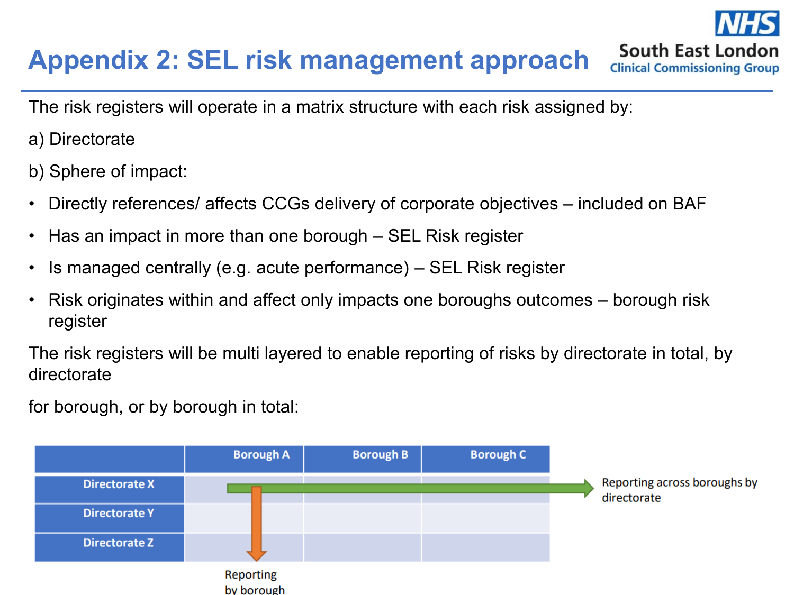### **Appendix 2: SEL risk management approach**

The risk registers will operate in a matrix structure with each risk assigned by:

a) Directorate

b) Sphere of impact:

• Directly references/ affects CCGs delivery of corporate objectives – included on BAF

South East London **Clinical Commissioning Group** 

- Has an impact in more than one borough SEL Risk register
- Is managed centrally (e.g. acute performance) SEL Risk register
- Risk originates within and affect only impacts one boroughs outcomes borough risk register

The risk registers will be multi layered to enable reporting of risks by directorate in total, by directorate

for borough, or by borough in total:

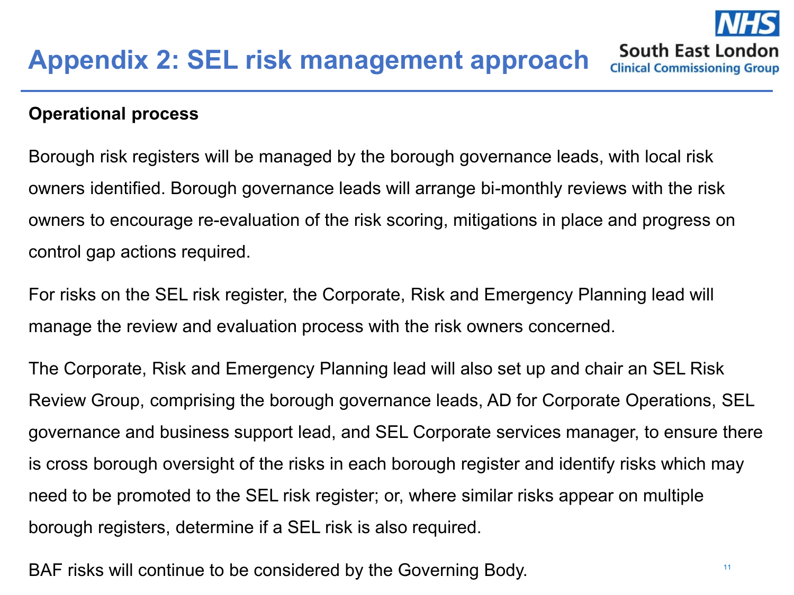#### **Operational process**

Borough risk registers will be managed by the borough governance leads, with local risk owners identified. Borough governance leads will arrange bi-monthly reviews with the risk owners to encourage re-evaluation of the risk scoring, mitigations in place and progress on control gap actions required.

For risks on the SEL risk register, the Corporate, Risk and Emergency Planning lead will manage the review and evaluation process with the risk owners concerned.

The Corporate, Risk and Emergency Planning lead will also set up and chair an SEL Risk Review Group, comprising the borough governance leads, AD for Corporate Operations, SEL governance and business support lead, and SEL Corporate services manager, to ensure there is cross borough oversight of the risks in each borough register and identify risks which may need to be promoted to the SEL risk register; or, where similar risks appear on multiple borough registers, determine if a SEL risk is also required.

BAF risks will continue to be considered by the Governing Body.

South East London **Clinical Commissioning Group**